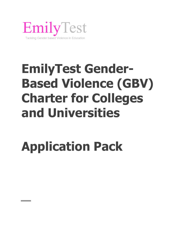

## **EmilyTest Gender-Based Violence (GBV) Charter for Colleges and Universities**

# **Application Pack**

**The Common**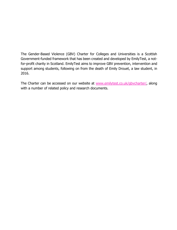The Gender-Based Violence (GBV) Charter for Colleges and Universities is a Scottish Government-funded framework that has been created and developed by EmilyTest, a notfor-profit charity in Scotland. EmilyTest aims to improve GBV prevention, intervention and support among students, following on from the death of Emily Drouet, a law student, in 2016.

The Charter can be accessed on our website at [www.emilytest.co.uk/](http://www.emilytest.co.uk/)gbvcharter/, along with a number of related policy and research documents.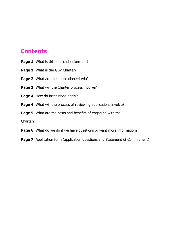### **Contents**

- **Page 1:** What is this application form for?
- **Page 1**: What is the GBV Charter?
- **Page 2: What are the application criteria?**
- Page 2: What will the Charter process involve?
- **Page 4:** How do institutions apply?
- **Page 4:** What will the process of reviewing applications involve?
- **Page 5:** What are the costs and benefits of engaging with the

Charter?

- **Page 6**: What do we do if we have questions or want more information?
- **Page 7:** Application form (application questions and Statement of Commitment)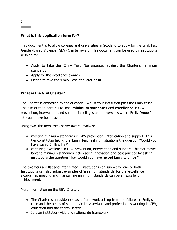#### **What is this application form for?**

This document is to allow colleges and universities in Scotland to apply for the EmilyTest Gender-Based Violence (GBV) Charter award. This document can be used by institutions wishing to:

- Apply to take the 'Emily Test' (be assessed against the Charter's minimum standards)
- Apply for the excellence awards
- Pledge to take the 'Emily Test' at a later point

#### **What is the GBV Charter?**

The Charter is embodied by the question: 'Would your institution pass the Emily test?' The aim of the Charter is to instil **minimum standards** and **excellence** in GBV prevention, intervention and support in colleges and universities where Emily Drouet's life could have been saved.

Using two, flat tiers, the Charter award involves:

- meeting minimum standards in GBV prevention, intervention and support. This tier constitutes taking the 'Emily Test', asking institutions the question 'Would you have saved Emily's life?'
- capturing excellence in GBV prevention, intervention and support. This tier moves beyond minimum standards, celebrating innovation and best practice by asking institutions the question 'How would you have helped Emily to thrive?'

The two tiers are flat and interrelated – institutions can submit for one or both. Institutions can also submit examples of 'minimum standards' for the 'excellence awards', as meeting and maintaining minimum standards can be an excellent achievement.

More information on the GBV Charter:

- The Charter is an evidence-based framework arising from the failures in Emily's case and the needs of student victims/survivors and professionals working in GBV, education and the charity sector
- It is an institution-wide and nationwide framework

1

**Contract Contract**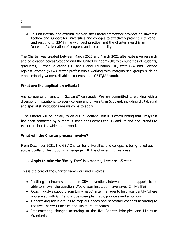● It is an internal and external marker: the Charter framework provides an 'inwards' toolbox and support for universities and colleges to effectively prevent, intervene and respond to GBV in line with best practice, and the Charter award is an 'outwards' celebration of progress and accountability

The Charter was created between March 2020 and March 2021 after extensive research and co-creation across Scotland and the United Kingdom (UK) with hundreds of students, graduates, Further Education (FE) and Higher Education (HE) staff, GBV and Violence Against Women (VAW) sector professionals working with marginalised groups such as ethnic minority women, disabled students and LGBTQIA\* youth.

#### **What are the application criteria?**

Any college or university in Scotland\* can apply. We are committed to working with a diversity of institutions, so every college and university in Scotland, including digital, rural and specialist institutions are welcome to apply.

\*The Charter will be initially rolled out in Scotland, but it is worth noting that EmilyTest has been contacted by numerous institutions across the UK and Ireland and intends to explore rollout UK-wide and beyond.

#### **What will the Charter process involve?**

From December 2021, the GBV Charter for universities and colleges is being rolled out across Scotland. Institutions can engage with the Charter in three ways:

#### 1. **Apply to take the 'Emily Test'** in 6 months, 1 year or 1.5 years

This is the core of the Charter framework and involves:

- Instilling minimum standards in GBV prevention, intervention and support, to be able to answer the question 'Would your institution have saved Emily's life?'
- Coaching-style support from EmilyTest Charter manager to help you identify 'where you are at' with GBV and scope strengths, gaps, priorities and ambitions
- Undertaking focus groups to map out needs and necessary changes according to the five Charter Principles and Minimum Standards
- Implementing changes according to the five Charter Principles and Minimum **Standards**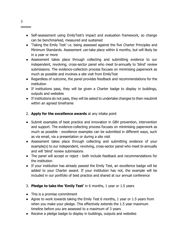- Self-assessment using EmilyTest's impact and evaluation framework, so change can be benchmarked, measured and sustained
- 'Taking the Emily Test' i.e. being assessed against the five Charter Principles and Minimum Standards. Assessment *can* take place within 6 months, but will likely be in a year or more
- Assessment takes place through collecting and submitting evidence to our independent, revolving, cross-sector panel who meet bi-annually to 'blind' review submissions. The evidence-collection process focuses on minimising paperwork as much as possible and involves a site visit from EmilyTest
- Regardless of outcome, the panel provides feedback and recommendations for the institution
- If institutions pass, they will be given a Charter badge to display in buildings, outputs and websites
- If institutions do not pass, they will be asked to undertake changes to then resubmit within an agreed timeframe
- 2. **Apply for the excellence awards** at any intake point
- Submit examples of best practice and innovation in GBV prevention, intervention and support. The evidence-collecting process focuses on minimising paperwork as much as possible - excellence examples can be submitted in different ways, such as via email, via a presentation or during a site visit
- Assessment takes place through collecting and submitting evidence of your example(s) to our independent, revolving, cross-sector panel who meet bi-annually and will 'blind' review submissions
- The panel will accept or reject both include feedback and recommendations for the institution
- If your institution has already passed the Emily Test, an excellence badge will be added to your Charter award. If your institution has not, the example will be included in our portfolio of best practice and shared at our annual conference
- 3. **Pledge to take the 'Emily Test'** in 6 months, 1 year or 1.5 years
- This is a promise commitment
- Agree to work towards taking the Emily Test 6 months, 1 year or 1.5 years from when you make your pledge. This effectively extends the 1.5 year maximum timeline before you are assessed to a maximum of 3 years
- Receive a pledge badge to display in buildings, outputs and websites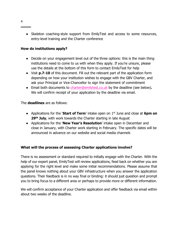● Skeleton coaching-style support from EmilyTest and access to some resources, entry-level training and the Charter conference

#### **How do institutions apply?**

- Decide on your engagement level out of the three options: this is the main thing institutions need to come to us with when they apply. If you're unsure, please use the details at the bottom of this form to contact EmilyTest for help
- Visit **p.7-10** of this document. Fill out the relevant part of the application form depending on how your institution wishes to engage with the GBV Charter, and ask your Principal or Vice-Chancellor to sign the statement of commitment
- Email both documents to [charter@emilytest.co.uk](mailto:charter@emilytest.co.uk) by the deadline (see below)**.**  We will confirm receipt of your application by the deadline via email.

The **deadlines** are as follows:

- Applications for the '**Start of Term**' intake open on 1st June and close at **6pm on 29th July**, with work towards the Charter starting in late August
- Applications for the '**New Year's Resolution**' intake open in December and close in January, with Charter work starting in February. The specific dates will be announced in advance on our website and social media channels

#### **What will the process of assessing Charter applications involve?**

There is no assessment or standard required to initially engage with the Charter. With the help of our expert panel, EmilyTest will review applications, feed back on whether you are applying for the right level and make some initial recommendations. Please assume that the panel knows nothing about your GBV infrastructure when you answer the application questions. Their feedback is in no way final or binding: it should just question and prompt you to bring focus to a different area or perhaps to provide more or different information.

We will confirm acceptance of your Charter application and offer feedback via email within about two weeks of the deadline.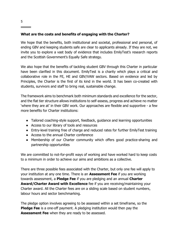#### **What are the costs and benefits of engaging with the Charter?**

We hope that the benefits, both institutional and societal, professional and personal, of ending GBV and keeping students safe are clear to applicants already. If they are not, we invite you to explore a vast body of evidence that includes EmilyTest's research reports and the Scottish Government's Equally Safe strategy.

We also hope that the benefits of tackling student GBV through this Charter in particular have been clarified in this document. EmilyTest is a charity which plays a critical and collaborative role in the FE, HE and GBV/VAW sectors. Based on evidence and led by Principles, the Charter is the first of its kind in the world. It has been co-created with students, survivors and staff to bring real, sustainable change.

The framework aims to benchmark both minimum standards and excellence for the sector, and the flat tier structure allows institutions to self-assess, progress and achieve no matter 'where they are at' in their GBV work. Our approaches are flexible and supportive - a few more benefits for Charter institutions:

- Tailored coaching-style support, feedback, guidance and learning opportunities
- Access to our library of tools and resources
- Entry-level training free of charge and reduced rates for further EmilyTest training
- Access to the annual Charter conference
- Membership of our Charter community which offers good practice-sharing and partnership opportunities

We are committed to not-for-profit ways of working and have worked hard to keep costs to a minimum in order to achieve our aims and ambitions as a collective.

There are three possible fees associated with the Charter, but only one fee will apply to your institution at any one time. There is an **Assessment Fee** if you are working towards assessment, a **Pledge Fee** if you are pledging and an annual **Charter Award/Charter Award with Excellence** fee if you are receiving/maintaining your Charter award. All the Charter fees are on a sliding scale based on student numbers, labour hours and sector benchmarking.

The pledge option involves agreeing to be assessed within a set timeframe, so the **Pledge Fee** is a one-off payment. A pledging institution would then pay the **Assessment Fee** when they are ready to be assessed.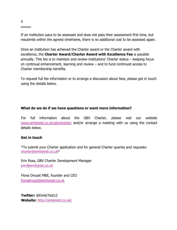If an institution pays to be assessed and does not pass their assessment first time, but resubmits within the agreed timeframe, there is no additional cost to be assessed again.

Once an institution has achieved the Charter award or the Charter award with excellence, the **Charter Award/Charter Award with Excellence Fee** is payable annually. This fee is to maintain and review institutions' Charter status – keeping focus on continual enhancement, learning and review – and to fund continued access to Charter membership benefits.

To request full fee information or to arrange a discussion about fees, please get in touch using the details below.

#### **What do we do if we have questions or want more information?**

For full information about the GBV Charter, please visit our website [www.emilytest.co.uk/gbvcharter/](http://www.emilytest.co.uk/gbvcharter/) and/or arrange a meeting with us using the contact details below.

#### **Get in touch**

\*To submit your Charter application and for general Charter queries and requests: [charter@emilytest.co.uk\\*](mailto:charter@emilytest.co.uk)

Erin Ross, GBV Charter Development Manager [erin@emilytest.co.uk](mailto:erin@emilytest.co.uk)

Fiona Drouet MBE, founder and CEO fionadrouet@emilytest.co.uk

**Twitter:** @EmilyTest12 **Website:** <http://emilytest.co.uk/>

**Contract Contract**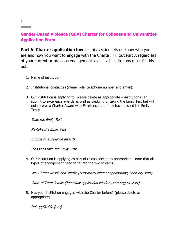#### **Gender-Based Violence (GBV) Charter for Colleges and Universities Application Form**

**Part A: Charter application level** – this section lets us know who you are and how you want to engage with the Charter. Fill out Part A regardless of your current or previous engagement level – all institutions must fill this out.

- 1. Name of institution:
- 2. Institutional contact(s) (name, role, telephone number and email):
- 3. Our institution is applying to (please delete as appropriate institutions can submit to excellence awards as well as pledging or taking the Emily Test but will not receive a Charter Award with Excellence until they have passed the Emily Test):

Take the Emily Test

Re-take the Emily Test

Submit to excellence awards

Pledge to take the Emily Test

4. Our institution is applying as part of (please delete as appropriate - note that all types of engagement need to fit into the two streams)

'New Year's Resolution' intake (December/January applications, February start)

'Start of Term' intake (June/July application window, late August start)

5. Has your institution engaged with the Charter before? (please delete as appropriate)

Not applicable (n/a)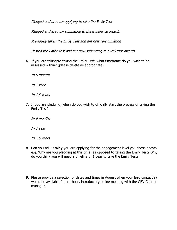Pledged and are now applying to take the Emily Test

Pledged and are now submitting to the excellence awards

Previously taken the Emily Test and are now re-submitting

Passed the Emily Test and are now submitting to excellence awards

- 6. If you are taking/re-taking the Emily Test, what timeframe do you wish to be assessed within? (please delete as appropriate)
	- In 6 months

In 1 year

In 1.5 years

7. If you are pledging, when do you wish to officially start the process of taking the Emily Test?

In 6 months

In 1 year

In 1.5 years

- 8. Can you tell us **why** you are applying for the engagement level you chose above? e.g. Why are you pledging at this time, as opposed to taking the Emily Test? Why do you think you will need a timeline of 1 year to take the Emily Test?
- 9. Please provide a selection of dates and times in August when your lead contact(s) would be available for a 1-hour, introductory online meeting with the GBV Charter manager.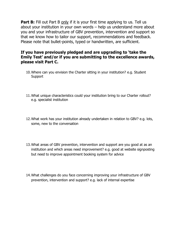**Part B:** Fill out Part B only if it is your first time applying to us. Tell us about your institution in your own words – help us understand more about you and your infrastructure of GBV prevention, intervention and support so that we know how to tailor our support, recommendations and feedback. Please note that bullet-points, typed or handwritten, are sufficient.

#### **If you have previously pledged and are upgrading to 'take the Emily Test' and/or if you are submitting to the excellence awards, please visit Part C.**

- 10.Where can you envision the Charter sitting in your institution? e.g. Student Support
- 11.What unique characteristics could your institution bring to our Charter rollout? e.g. specialist institution
- 12.What work has your institution already undertaken in relation to GBV? e.g. lots, some, new to the conversation
- 13.What areas of GBV prevention, intervention and support are you good at as an institution and which areas need improvement? e.g. good at website signposting but need to improve appointment booking system for advice
- 14.What challenges do you face concerning improving your infrastructure of GBV prevention, intervention and support? e.g. lack of internal expertise